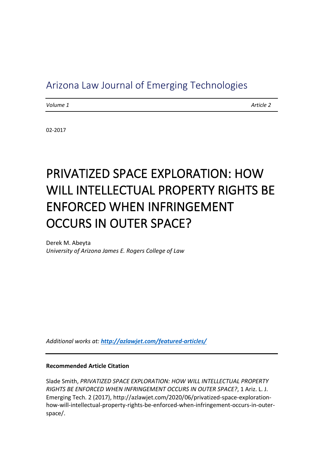# Arizona Law Journal of Emerging Technologies

*Volume 1 Article 2*

02-2017

# PRIVATIZED SPACE EXPLORATION: HOW WILL INTELLECTUAL PROPERTY RIGHTS BE ENFORCED WHEN INFRINGEMENT OCCURS IN OUTER SPACE?

Derek M. Abeyta *University of Arizona James E. Rogers College of Law*

*Additional works at: <http://azlawjet.com/featured-articles/>*

#### **Recommended Article Citation**

Slade Smith, *PRIVATIZED SPACE EXPLORATION: HOW WILL INTELLECTUAL PROPERTY RIGHTS BE ENFORCED WHEN INFRINGEMENT OCCURS IN OUTER SPACE?*, 1 Ariz. L. J. Emerging Tech. 2 (2017), http://azlawjet.com/2020/06/privatized-space-explorationhow-will-intellectual-property-rights-be-enforced-when-infringement-occurs-in-outerspace/.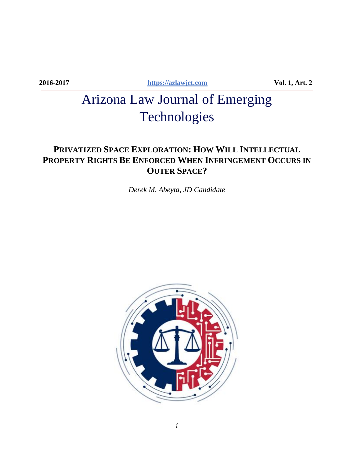**2016-2017 [https://azlawjet.com](https://azlawjet.com/) Vol. 1, Art. 2**

# Arizona Law Journal of Emerging Technologies

# **PRIVATIZED SPACE EXPLORATION: HOW WILL INTELLECTUAL PROPERTY RIGHTS BE ENFORCED WHEN INFRINGEMENT OCCURS IN OUTER SPACE?**

*Derek M. Abeyta, JD Candidate*

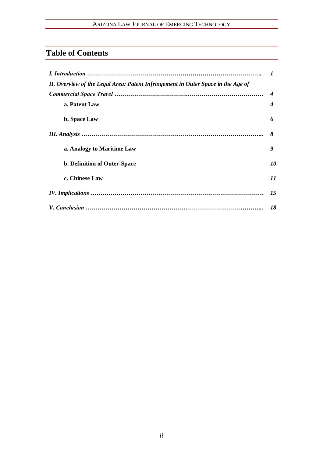# **Table of Contents**

| II. Overview of the Legal Area: Patent Infringement in Outer Space in the Age of |    |
|----------------------------------------------------------------------------------|----|
|                                                                                  | 4  |
| a. Patent Law                                                                    | 4  |
| <b>b.</b> Space Law                                                              | 6  |
|                                                                                  | 8  |
| a. Analogy to Maritime Law                                                       | 9  |
| <b>b. Definition of Outer-Space</b>                                              | 10 |
| c. Chinese Law                                                                   | 11 |
|                                                                                  | 15 |
|                                                                                  | 18 |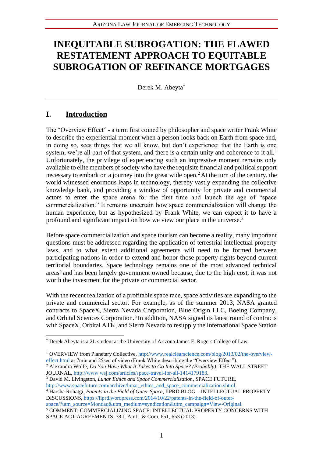# **INEQUITABLE SUBROGATION: THE FLAWED RESTATEMENT APPROACH TO EQUITABLE SUBROGATION OF REFINANCE MORTGAGES**

Derek M. Abeyta\*

# **I. Introduction**

The "Overview Effect" - a term first coined by philosopher and space writer Frank White to describe the experiential moment when a person looks back on Earth from space and, in doing so, sees things that we all know, but don't experience: that the Earth is one system, we're all part of that system, and there is a certain unity and coherence to it all.<sup>1</sup> Unfortunately, the privilege of experiencing such an impressive moment remains only available to elite members of society who have the requisite financial and political support necessary to embark on a journey into the great wide open.<sup>2</sup> At the turn of the century, the world witnessed enormous leaps in technology, thereby vastly expanding the collective knowledge bank, and providing a window of opportunity for private and commercial actors to enter the space arena for the first time and launch the age of "space commercialization." It remains uncertain how space commercialization will change the human experience, but as hypothesized by Frank White, we can expect it to have a profound and significant impact on how we view our place in the universe.<sup>3</sup>

Before space commercialization and space tourism can become a reality, many important questions must be addressed regarding the application of terrestrial intellectual property laws, and to what extent additional agreements will need to be formed between participating nations in order to extend and honor those property rights beyond current territorial boundaries. Space technology remains one of the most advanced technical areas<sup>4</sup> and has been largely government owned because, due to the high cost, it was not worth the investment for the private or commercial sector.

With the recent realization of a profitable space race, space activities are expanding to the private and commercial sector. For example, as of the summer 2013, NASA granted contracts to SpaceX, Sierra Nevada Corporation, Blue Origin LLC, Boeing Company, and Orbital Sciences Corporation.<sup>5</sup> In addition, NASA signed its latest round of contracts with SpaceX, Orbital ATK, and Sierra Nevada to resupply the International Space Station

<sup>3</sup> David M. Livingston, *Lunar Ethics and Space Commercialization*, SPACE FUTURE,

http://www.spacefuture.com/archive/lunar\_ethics\_and\_space\_commercialization.shtml. <sup>4</sup> Harsha Rohatgi, *Patents in the Field of Outer Space*, IIPRD BLOG – INTELLECTUAL PROPERTY DISCUSSIONS, https://iiprd.wordpress.com/2014/10/22/patents-in-the-field-of-outer-

space/?utm\_source=Mondaq&utm\_medium=syndication&utm\_campaign=View-Original.

<sup>5</sup> COMMENT: COMMERCIALIZING SPACE: INTELLECTUAL PROPERTY CONCERNS WITH SPACE ACT AGREEMENTS, 78 J. Air L. & Com. 651, 653 (2013).

<sup>\*</sup> Derek Abeyta is a 2L student at the University of Arizona James E. Rogers College of Law.

<sup>&</sup>lt;sup>1</sup> OVERVIEW from Planetary Collective, http://www.realclearscience.com/blog/2013/02/the-overvieweffect.html at 7min and 25sec of video (Frank White describing the "Overview Effect").

<sup>2</sup> Alexandra Wolfe, *Do You Have What It Takes to Go Into Space? (Probably)*, THE WALL STREET JOURNAL, http://www.wsj.com/articles/space-travel-for-all-1414179183.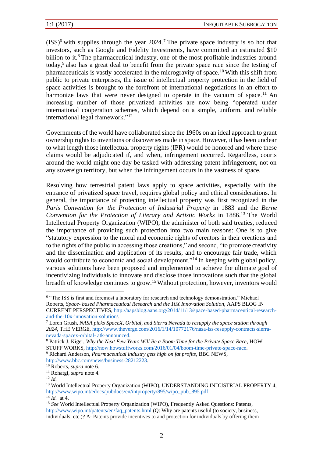$(ISS)^6$  with supplies through the year 2024.<sup>7</sup> The private space industry is so hot that investors, such as Google and Fidelity Investments, have committed an estimated \$10 billion to it.<sup>8</sup> The pharmaceutical industry, one of the most profitable industries around today,<sup>9</sup> also has a great deal to benefit from the private space race since the testing of pharmaceuticals is vastly accelerated in the microgravity of space.<sup>10</sup> With this shift from public to private enterprises, the issue of intellectual property protection in the field of space activities is brought to the forefront of international negotiations in an effort to harmonize laws that were never designed to operate in the vacuum of space.<sup>11</sup> An increasing number of those privatized activities are now being "operated under international cooperation schemes, which depend on a simple, uniform, and reliable international legal framework."<sup>12</sup>

Governments of the world have collaborated since the 1960s on an ideal approach to grant ownership rights to inventions or discoveries made in space. However, it has been unclear to what length those intellectual property rights (IPR) would be honored and where these claims would be adjudicated if, and when, infringement occurred. Regardless, courts around the world might one day be tasked with addressing patent infringement, not on any sovereign territory, but when the infringement occurs in the vastness of space.

Resolving how terrestrial patent laws apply to space activities, especially with the entrance of privatized space travel, requires global policy and ethical considerations. In general, the importance of protecting intellectual property was first recognized in the *Paris Convention for the Protection of Industrial Property* in 1883 and the *Berne Convention for the Protection of Literary and Artistic Works* in 1886.<sup>13</sup> The World Intellectual Property Organization (WIPO), the administer of both said treaties, reduced the importance of providing such protection into two main reasons: One is to give "statutory expression to the moral and economic rights of creators in their creations and to the rights of the public in accessing those creations," and second, "to promote creativity and the dissemination and application of its results, and to encourage fair trade, which would contribute to economic and social development."<sup>14</sup> In keeping with global policy, various solutions have been proposed and implemented to achieve the ultimate goal of incentivizing individuals to innovate and disclose those innovations such that the global breadth of knowledge continues to grow.<sup>15</sup>Without protection, however, inventors would

http://www.bbc.com/news/business-28212223.

<sup>&</sup>lt;sup>6</sup> "The ISS is first and foremost a laboratory for research and technology demonstration." Michael Roberts, *Space- based Pharmaceutical Research and the 10X Innovation Solution*, AAPS BLOG IN CURRENT PERSPECTIVES, http://aapsblog.aaps.org/2014/11/13/space-based-pharmaceutical-researchand-the-10x-innovation-solution/.

<sup>7</sup> Loren Grush, *NASA picks SpaceX, Orbital, and Sierra Nevada to resupply the space station through 2024*, THE VERGE, http://www.theverge.com/2016/1/14/10772176/nasa-iss-resupply-contracts-sierranevada-spacex-orbital- atk-announced.

<sup>8</sup> Patrick J. Kiger, *Why the Next Few Years Will Be a Boom Time for the Private Space Race*, HOW STUFF WORKS, http://now.howstuffworks.com/2016/01/04/boom-time-private-space-race. <sup>9</sup> Richard Anderson, *Pharmaceutical industry gets high on fat profits*, BBC NEWS,

<sup>10</sup> Roberts, *supra* note 6.

<sup>11</sup> Rohatgi, *supra* note 4.

<sup>12</sup> *Id.*

<sup>&</sup>lt;sup>13</sup> World Intellectual Property Organization (WIPO), UNDERSTANDING INDUSTRIAL PROPERTY 4, http://www.wipo.int/edocs/pubdocs/en/intproperty/895/wipo\_pub\_895.pdf.

<sup>14</sup> *Id.* at 4.

<sup>15</sup> *See* World Intellectual Property Organization (WIPO), Frequently Asked Questions: Patents, http://www.wipo.int/patents/en/faq\_patents.html (Q: Why are patents useful (to society, business, individuals, etc.)? A: Patents provide incentives to and protection for individuals by offering them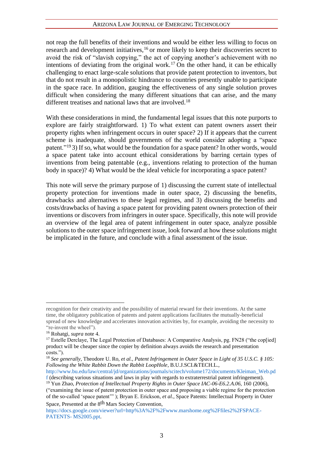not reap the full benefits of their inventions and would be either less willing to focus on research and development initiatives,  $16$  or more likely to keep their discoveries secret to avoid the risk of "slavish copying," the act of copying another's achievement with no intentions of deviating from the original work.<sup>17</sup> On the other hand, it can be ethically challenging to enact large-scale solutions that provide patent protection to inventors, but that do not result in a monopolistic hindrance to countries presently unable to participate in the space race. In addition, gauging the effectiveness of any single solution proves difficult when considering the many different situations that can arise, and the many different treatises and national laws that are involved.<sup>18</sup>

With these considerations in mind, the fundamental legal issues that this note purports to explore are fairly straightforward. 1) To what extent can patent owners assert their property rights when infringement occurs in outer space? 2) If it appears that the current scheme is inadequate, should governments of the world consider adopting a "space patent."<sup>19</sup> 3) If so, what would be the foundation for a space patent? In other words, would a space patent take into account ethical considerations by barring certain types of inventions from being patentable (e.g., inventions relating to protection of the human body in space)? 4) What would be the ideal vehicle for incorporating a space patent?

This note will serve the primary purpose of 1) discussing the current state of intellectual property protection for inventions made in outer space, 2) discussing the benefits, drawbacks and alternatives to these legal regimes, and 3) discussing the benefits and costs/drawbacks of having a space patent for providing patent owners protection of their inventions or discovers from infringers in outer space. Specifically, this note will provide an overview of the legal area of patent infringement in outer space, analyze possible solutions to the outer space infringement issue, look forward at how these solutions might be implicated in the future, and conclude with a final assessment of the issue.

Space, Presented at the 8th Mars Society Convention,

recognition for their creativity and the possibility of material reward for their inventions. At the same time, the obligatory publication of patents and patent applications facilitates the mutually-beneficial spread of new knowledge and accelerates innovation activities by, for example, avoiding the necessity to "re-invent the wheel").

<sup>16</sup> Rohatgi, *supra* note 4.

<sup>&</sup>lt;sup>17</sup> Estelle Derclaye, The Legal Protection of Databases: A Comparative Analysis, pg. FN28 ("the cop[ied] product will be cheaper since the copier by definition always avoids the research and presentation costs.").

<sup>18</sup> *See generally*, Theodore U. Ro, *et al.*, *Patent Infringement in Outer Space in Light of 35 U.S.C. § 105: Following the White Rabbit Down the Rabbit LoopHole*, B.U.J.SCI.&TECH.L.,

http://www.bu.edu/law/central/jd/organizations/journals/scitech/volume172/documents/Kleiman\_Web.pd f (describing various situations and laws in play with regards to extraterrestrial patent infringement).

<sup>19</sup> Yun Zhao, *Protection of Intellectual Property Rights in Outer Space IAC-06-E6.2.A.06*, 160 (2006), ("examining the issue of patent protection in outer space and proposing a viable regime for the protection of the so-called 'space patent'" ); Bryan E. Erickson, *et al.*, Space Patents: Intellectual Property in Outer

https://docs.google.com/viewer?url=http%3A%2F%2Fwww.marshome.org%2Ffiles2%2FSPACE-PATENTS- MS2005.ppt.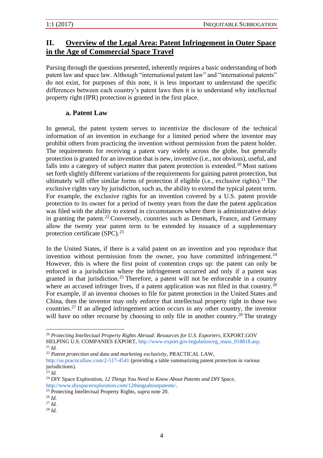# **II. Overview of the Legal Area: Patent Infringement in Outer Space in the Age of Commercial Space Travel**

Parsing through the questions presented, inherently requires a basic understanding of both patent law and space law. Although "international patent law" and "international patents" do not exist, for purposes of this note, it is less important to understand the specific differences between each country's patent laws then it is to understand why intellectual property right (IPR) protection is granted in the first place.

### **a. Patent Law**

In general, the patent system serves to incentivize the disclosure of the technical information of an invention in exchange for a limited period where the inventor may prohibit others from practicing the invention without permission from the patent holder. The requirements for receiving a patent vary widely across the globe, but generally protection is granted for an invention that is new, inventive (i.e., not obvious), useful, and falls into a category of subject matter that patent protection is extended.<sup>20</sup> Most nations set forth slightly different variations of the requirements for gaining patent protection, but ultimately will offer similar forms of protection if eligible (i.e., exclusive rights).<sup>21</sup> The exclusive rights vary by jurisdiction, such as, the ability to extend the typical patent term. For example, the exclusive rights for an invention covered by a U.S. patent provide protection to its owner for a period of twenty years from the date the patent application was filed with the ability to extend in circumstances where there is administrative delay in granting the patent.<sup>22</sup> Conversely, countries such as Denmark, France, and Germany allow the twenty year patent term to be extended by issuance of a supplementary protection certificate  $(SPC).^{23}$ 

In the United States, if there is a valid patent on an invention and you reproduce that invention without permission from the owner, you have committed infringement.<sup>24</sup> However, this is where the first point of contention crops up: the patent can only be enforced in a jurisdiction where the infringement occurred and only if a patent was granted in that jurisdiction.<sup>25</sup> Therefore, a patent will not be enforceable in a country where an accused infringer lives, if a patent application was not filed in that country.<sup>26</sup> For example, if an inventor chooses to file for patent protection in the United States and China, then the inventor may only enforce that intellectual property right in those two countries.<sup>27</sup> If an alleged infringement action occurs in any other country, the inventor will have no other recourse by choosing to only file in another country.<sup>28</sup> The strategy

<sup>22</sup> *Patent protection and data and marketing exclusivity*, PRACTICAL LAW,

<sup>28</sup> *Id.*

<sup>20</sup> *Protecting Intellectual Property Rights Abroad: Resources for U.S. Exporters*, EXPORT.GOV HELPING U.S. COMPANIES EXPORT, http://www.export.gov/regulation/eg\_main\_018818.asp.

<sup>21</sup> *Id.*

http://us.practicallaw.com/2-517-4541 (providing a table summarizing patent protection in various jurisdictions).

<sup>23</sup> *Id.*

<sup>24</sup> DIY Space Exploration, *12 Things You Need to Know About Patents and DIY Space*, http://www.diyspaceexploration.com/12thingsaboutpatents/.

<sup>25</sup> Protecting Intellectual Property Rights, *supra* note 20.

<sup>26</sup> *Id.*

<sup>27</sup> *Id.*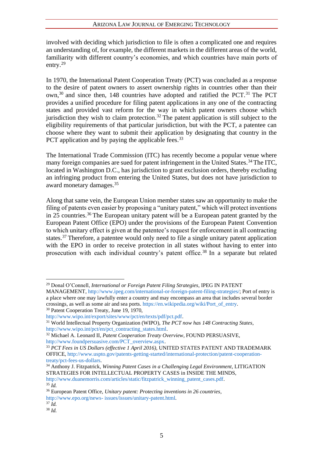involved with deciding which jurisdiction to file is often a complicated one and requires an understanding of, for example, the different markets in the different areas of the world, familiarity with different country's economies, and which countries have main ports of entry.<sup>29</sup>

In 1970, the International Patent Cooperation Treaty (PCT) was concluded as a response to the desire of patent owners to assert ownership rights in countries other than their own,<sup>30</sup> and since then, 148 countries have adopted and ratified the PCT.<sup>31</sup> The PCT provides a unified procedure for filing patent applications in any one of the contracting states and provided vast reform for the way in which patent owners choose which iurisdiction they wish to claim protection.<sup>32</sup> The patent application is still subject to the eligibility requirements of that particular jurisdiction, but with the PCT, a patentee can choose where they want to submit their application by designating that country in the PCT application and by paying the applicable fees.<sup>33</sup>

The International Trade Commission (ITC) has recently become a popular venue where many foreign companies are sued for patent infringement in the United States.<sup>34</sup> The ITC, located in Washington D.C., has jurisdiction to grant exclusion orders, thereby excluding an infringing product from entering the United States, but does not have jurisdiction to award monetary damages.<sup>35</sup>

Along that same vein, the European Union member states saw an opportunity to make the filing of patents even easier by proposing a "unitary patent," which will protect inventions in 25 countries.<sup>36</sup> The European unitary patent will be a European patent granted by the European Patent Office (EPO) under the provisions of the European Patent Convention to which unitary effect is given at the patentee's request for enforcement in all contracting states.<sup>37</sup> Therefore, a patentee would only need to file a single unitary patent application with the EPO in order to receive protection in all states without having to enter into prosecution with each individual country's patent office.<sup>38</sup> In a separate but related

 $35 \overline{Id}$ .

<sup>29</sup> Donal O'Connell, *International or Foreign Patent Filing Strategies*, IPEG IN PATENT

MANAGEMENT, http://www.ipeg.com/international-or-foreign-patent-filing-strategies/; Port of entry is a place where one may lawfully enter a country and may encompass an area that includes several border crossings, as well as some air and sea ports. https://en.wikipedia.org/wiki/Port\_of\_entry.

<sup>&</sup>lt;sup>30</sup> Patent Cooperation Treaty, June 19, 1970,

http://www.wipo.int/export/sites/www/pct/en/texts/pdf/pct.pdf.

<sup>31</sup> World Intellectual Property Organization (WIPO), *The PCT now has 148 Contracting States*, http://www.wipo.int/pct/en/pct\_contracting\_states.html.

<sup>32</sup> Michael A. Leonard II, *Patent Cooperation Treaty Overview*, FOUND PERSUASIVE, http://www.foundpersuasive.com/PCT\_overview.aspx.

<sup>33</sup> *PCT Fees in US Dollars (effective 1 April 2016)*, UNITED STATES PATENT AND TRADEMARK OFFICE, http://www.uspto.gov/patents-getting-started/international-protection/patent-cooperationtreaty/pct-fees-us-dollars.

<sup>34</sup> Anthony J. Fitzpatrick, *Winning Patent Cases in a Challenging Legal Environment*, LITIGATION STRATEGIES FOR INTELLECTUAL PROPERTY CASES in INSIDE THE MINDS, http://www.duanemorris.com/articles/static/fitzpatrick\_winning\_patent\_cases.pdf.

<sup>36</sup> European Patent Office, *Unitary patent: Protecting inventions in 26 countries*, http://www.epo.org/news- issues/issues/unitary-patent.html.

 $37 \tilde{I}$ d.

<sup>38</sup> *Id.*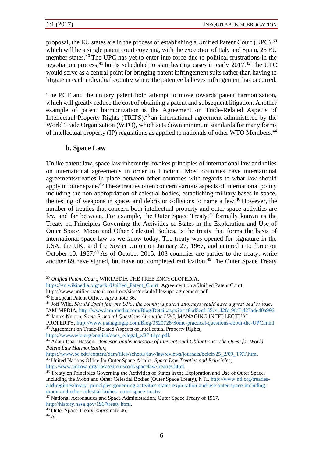proposal, the EU states are in the process of establishing a Unified Patent Court (UPC), <sup>39</sup> which will be a single patent court covering, with the exception of Italy and Spain, 25 EU member states.<sup>40</sup> The UPC has yet to enter into force due to political frustrations in the negotiation process, <sup>41</sup> but is scheduled to start hearing cases in early 2017.<sup>42</sup> The UPC would serve as a central point for bringing patent infringement suits rather than having to litigate in each individual country where the patentee believes infringement has occurred.

The PCT and the unitary patent both attempt to move towards patent harmonization, which will greatly reduce the cost of obtaining a patent and subsequent litigation. Another example of patent harmonization is the Agreement on Trade-Related Aspects of Intellectual Property Rights (TRIPS),<sup>43</sup> an international agreement administered by the World Trade Organization (WTO), which sets down minimum standards for many forms of intellectual property (IP) regulations as applied to nationals of other WTO Members.<sup>44</sup>

### **b. Space Law**

Unlike patent law, space law inherently invokes principles of international law and relies on international agreements in order to function. Most countries have international agreements/treaties in place between other countries with regards to what law should apply in outer space.<sup>45</sup> These treaties often concern various aspects of international policy including the non-appropriation of celestial bodies, establishing military bases in space, the testing of weapons in space, and debris or collisions to name a few.<sup>46</sup> However, the number of treaties that concern both intellectual property and outer space activities are few and far between. For example, the Outer Space Treaty,  $47$  formally known as the Treaty on Principles Governing the Activities of States in the Exploration and Use of Outer Space, Moon and Other Celestial Bodies, is the treaty that forms the basis of international space law as we know today. The treaty was opened for signature in the USA, the UK, and the Soviet Union on January 27, 1967, and entered into force on October 10, 1967<sup>48</sup> As of October 2015, 103 countries are parties to the treaty, while another 89 have signed, but have not completed ratification.<sup>49</sup> The Outer Space Treaty

https://www.wto.org/english/docs\_e/legal\_e/27-trips.pdf.

https://www.bc.edu/content/dam/files/schools/law/lawreviews/journals/bciclr/25\_2/09\_TXT.htm. <sup>45</sup> United Nations Office for Outer Space Affairs, *Space Law Treaties and Principles*,

http://www.unoosa.org/oosa/en/ourwork/spacelaw/treaties.html.

<sup>39</sup> *Unified Patent Court*, WIKIPEDIA THE FREE ENCYCLOPEDIA,

https://en.wikipedia.org/wiki/Unified\_Patent\_Court; Agreement on a Unified Patent Court, https://www.unified-patent-court.org/sites/default/files/upc-agreement.pdf.

<sup>40</sup> European Patent Office, *supra* note 36.

<sup>41</sup> Joff Wild, *Should Spain join the UPC, the country's patent attorneys would have a great deal to lose*,

IAM-MEDIA, http://www.iam-media.com/Blog/Detail.aspx?g=a8bd5eef-55c4-42fd-9fc7-d27ade40a996. <sup>42</sup> James Nurton, *Some Practical Questions About the UPC*, MANAGING INTELLECTUAL

PROPERTY, http://www.managingip.com/Blog/3520728/Some-practical-questions-about-the-UPC.html. <sup>43</sup> Agreement on Trade-Related Aspects of Intellectual Property Rights,

<sup>44</sup> Adam Isaac Hasson, *Domestic Implementation of International Obligations: The Quest for World Patent Law Harmonization*,

<sup>46</sup> Treaty on Principles Governing the Activities of States in the Exploration and Use of Outer Space, Including the Moon and Other Celestial Bodies (Outer Space Treaty), NTI, http://www.nti.org/treatiesand-regimes/treaty- principles-governing-activities-states-exploration-and-use-outer-space-includingmoon-and-other-celestial-bodies- outer-space-treaty/.

<sup>47</sup> National Aeronautics and Space Administration, Outer Space Treaty of 1967, http://history.nasa.gov/1967treaty.html.

<sup>48</sup> Outer Space Treaty, *supra* note 46.

<sup>49</sup> *Id.*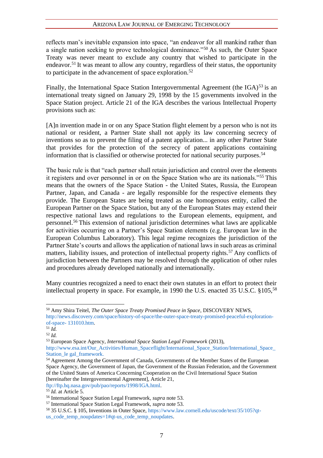reflects man's inevitable expansion into space, "an endeavor for all mankind rather than a single nation seeking to prove technological dominance."<sup>50</sup> As such, the Outer Space Treaty was never meant to exclude any country that wished to participate in the endeavor.<sup>51</sup> It was meant to allow any country, regardless of their status, the opportunity to participate in the advancement of space exploration.<sup>52</sup>

Finally, the International Space Station Intergovernmental Agreement (the  $IGA$ )<sup>53</sup> is an international treaty signed on January 29, 1998 by the 15 governments involved in the Space Station project. Article 21 of the IGA describes the various Intellectual Property provisions such as:

[A]n invention made in or on any Space Station flight element by a person who is not its national or resident, a Partner State shall not apply its law concerning secrecy of inventions so as to prevent the filing of a patent application... in any other Partner State that provides for the protection of the secrecy of patent applications containing information that is classified or otherwise protected for national security purposes.<sup>54</sup>

The basic rule is that "each partner shall retain jurisdiction and control over the elements it registers and over personnel in or on the Space Station who are its nationals."<sup>55</sup> This means that the owners of the Space Station - the United States, Russia, the European Partner, Japan, and Canada - are legally responsible for the respective elements they provide. The European States are being treated as one homogenous entity, called the European Partner on the Space Station, but any of the European States may extend their respective national laws and regulations to the European elements, equipment, and personnel.<sup>56</sup> This extension of national jurisdiction determines what laws are applicable for activities occurring on a Partner's Space Station elements (e.g. European law in the European Columbus Laboratory). This legal regime recognizes the jurisdiction of the Partner State's courts and allows the application of national laws in such areas as criminal matters, liability issues, and protection of intellectual property rights.<sup>57</sup> Any conflicts of jurisdiction between the Partners may be resolved through the application of other rules and procedures already developed nationally and internationally.

Many countries recognized a need to enact their own statutes in an effort to protect their intellectual property in space. For example, in 1990 the U.S. enacted 35 U.S.C. §105,<sup>58</sup>

ftp://ftp.hq.nasa.gov/pub/pao/reports/1998/IGA.html.

<sup>50</sup> Amy Shira Teitel, *The Outer Space Treaty Promised Peace in Space*, DISCOVERY NEWS, http://news.discovery.com/space/history-of-space/the-outer-space-treaty-promised-peaceful-explorationof-space- 131010.htm.

 $51 \overline{Id}$ .

<sup>52</sup> *Id.* 

<sup>53</sup> European Space Agency, *International Space Station Legal Framework* (2013),

http://www.esa.int/Our\_Activities/Human\_Spaceflight/International\_Space\_Station/International\_Space\_ Station le gal framework.

<sup>&</sup>lt;sup>54</sup> Agreement Among the Government of Canada, Governments of the Member States of the European Space Agency, the Government of Japan, the Government of the Russian Federation, and the Government of the United States of America Concerning Cooperation on the Civil International Space Station [hereinafter the Intergovernmental Agreement], Article 21,

<sup>55</sup> *Id.* at Article 5.

<sup>56</sup> International Space Station Legal Framework, *supra* note 53.

<sup>57</sup> International Space Station Legal Framework, *supra* note 53.

<sup>58</sup> 35 U.S.C. § 105, Inventions in Outer Space, https://www.law.cornell.edu/uscode/text/35/105?qtus code temp noupdates=1#qt-us code temp noupdates.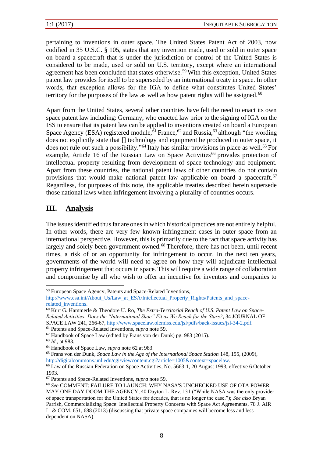pertaining to inventions in outer space. The United States Patent Act of 2003, now codified in 35 U.S.C. § 105, states that any invention made, used or sold in outer space on board a spacecraft that is under the jurisdiction or control of the United States is considered to be made, used or sold on U.S. territory, except where an international agreement has been concluded that states otherwise.<sup>59</sup> With this exception, United States patent law provides for itself to be superseded by an international treaty in space. In other words, that exception allows for the IGA to define what constitutes United States' territory for the purposes of the law as well as how patent rights will be assigned.<sup>60</sup>

Apart from the United States, several other countries have felt the need to enact its own space patent law including: Germany, who enacted law prior to the signing of IGA on the ISS to ensure that its patent law can be applied to inventions created on board a European Space Agency (ESA) registered module,  $61$  France,  $62$  and Russia,  $63$  although "the wording does not explicitly state that [] technology and equipment be produced in outer space, it does not rule out such a possibility."<sup>64</sup> Italy has similar provisions in place as well.<sup>65</sup> For example, Article 16 of the Russian Law on Space Activities<sup>66</sup> provides protection of intellectual property resulting from development of space technology and equipment. Apart from these countries, the national patent laws of other countries do not contain provisions that would make national patent law applicable on board a spacecraft.<sup>67</sup> Regardless, for purposes of this note, the applicable treaties described herein supersede those national laws when infringement involving a plurality of countries occurs.

# **III. Analysis**

The issues identified thus far are ones in which historical practices are not entirely helpful. In other words, there are very few known infringement cases in outer space from an international perspective. However, this is primarily due to the fact that space activity has largely and solely been government owned.<sup>68</sup> Therefore, there has not been, until recent times, a risk of or an opportunity for infringement to occur. In the next ten years, governments of the world will need to agree on how they will adjudicate intellectual property infringement that occurs in space. This will require a wide range of collaboration and compromise by all who wish to offer an incentive for inventors and companies to

<sup>59</sup> European Space Agency, Patents and Space-Related Inventions,

http://www.esa.int/About\_Us/Law\_at\_ESA/Intellectual\_Property\_Rights/Patents\_and\_spacerelated inventions.

<sup>60</sup> Kurt G. Hammerle & Theodore U. Ro, *The Extra-Territorial Reach of U.S. Patent Law on Space-Related Activities: Does the "International Shoe" Fit as We Reach for the Stars?*, 34 JOURNAL OF SPACE LAW 241, 266-67, http://www.spacelaw.olemiss.edu/jsl/pdfs/back-issues/jsl-34-2.pdf. <sup>61</sup> Patents and Space-Related Inventions, *supra* note 59.

<sup>62</sup> Handbook of Space Law (edited by Frans von der Dunk) pg. 983 (2015).

<sup>63</sup> *Id.*, at 983.

<sup>64</sup> Handbook of Space Law, *supra* note 62 at 983.

<sup>&</sup>lt;sup>65</sup> Frans von der Dunk, *Space Law in the Age of the International Space Station* 148, 155, (2009), http://digitalcommons.unl.edu/cgi/viewcontent.cgi?article=1005&context=spacelaw.

<sup>&</sup>lt;sup>66</sup> Law of the Russian Federation on Space Activities, No. 5663-1, 20 August 1993, effective 6 October 1993.

<sup>67</sup> Patents and Space-Related Inventions, *supra* note 59.

<sup>68</sup> *See* COMMENT: FAILURE TO LAUNCH: WHY NASA'S UNCHECKED USE OF OTA POWER MAY ONE DAY DOOM THE AGENCY, 40 Dayton L. Rev. 131 ("While NASA was the only provider of space transportation for the United States for decades, that is no longer the case."); *See also* Bryan Parrish, Commercializing Space: Intellectual Property Concerns with Space Act Agreements, 78 J. AIR L. & COM. 651, 688 (2013) (discussing that private space companies will become less and less dependent on NASA).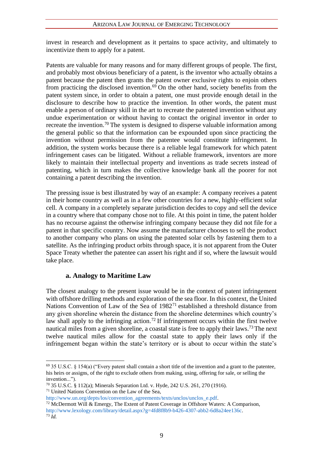invest in research and development as it pertains to space activity, and ultimately to incentivize them to apply for a patent.

Patents are valuable for many reasons and for many different groups of people. The first, and probably most obvious beneficiary of a patent, is the inventor who actually obtains a patent because the patent then grants the patent owner exclusive rights to enjoin others from practicing the disclosed invention.<sup> $69$ </sup> On the other hand, society benefits from the patent system since, in order to obtain a patent, one must provide enough detail in the disclosure to describe how to practice the invention. In other words, the patent must enable a person of ordinary skill in the art to recreate the patented invention without any undue experimentation or without having to contact the original inventor in order to recreate the invention.<sup>70</sup> The system is designed to disperse valuable information among the general public so that the information can be expounded upon since practicing the invention without permission from the patentee would constitute infringement. In addition, the system works because there is a reliable legal framework for which patent infringement cases can be litigated. Without a reliable framework, inventors are more likely to maintain their intellectual property and inventions as trade secrets instead of patenting, which in turn makes the collective knowledge bank all the poorer for not containing a patent describing the invention.

The pressing issue is best illustrated by way of an example: A company receives a patent in their home country as well as in a few other countries for a new, highly-efficient solar cell. A company in a completely separate jurisdiction decides to copy and sell the device in a country where that company chose not to file. At this point in time, the patent holder has no recourse against the otherwise infringing company because they did not file for a patent in that specific country. Now assume the manufacturer chooses to sell the product to another company who plans on using the patented solar cells by fastening them to a satellite. As the infringing product orbits through space, it is not apparent from the Outer Space Treaty whether the patentee can assert his right and if so, where the lawsuit would take place.

### **a. Analogy to Maritime Law**

The closest analogy to the present issue would be in the context of patent infringement with offshore drilling methods and exploration of the sea floor. In this context, the United Nations Convention of Law of the Sea of 1982<sup>71</sup> established a threshold distance from any given shoreline wherein the distance from the shoreline determines which country's law shall apply to the infringing action.<sup>72</sup> If infringement occurs within the first twelve nautical miles from a given shoreline, a coastal state is free to apply their laws.<sup>73</sup> The next twelve nautical miles allow for the coastal state to apply their laws only if the infringement began within the state's territory or is about to occur within the state's

<sup>71</sup> United Nations Convention on the Law of the Sea,

http://www.un.org/depts/los/convention\_agreements/texts/unclos/unclos\_e.pdf.

 $69$  35 U.S.C. § 154(a) ("Every patent shall contain a short title of the invention and a grant to the patentee, his heirs or assigns, of the right to exclude others from making, using, offering for sale, or selling the invention...").

<sup>70</sup> 35 U.S.C. § 112(a); Minerals Separation Ltd. v. Hyde, 242 U.S. 261, 270 (1916).

 $72$  McDermott Will & Emergy, The Extent of Patent Coverage in Offshore Waters: A Comparison, http://www.lexology.com/library/detail.aspx?g=4fd8f8b9-b426-4307-abb2-6d8a24ee136c. <sup>73</sup> *Id.*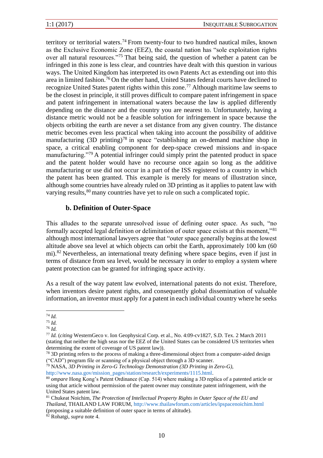territory or territorial waters.<sup>74</sup> From twenty-four to two hundred nautical miles, known as the Exclusive Economic Zone (EEZ), the coastal nation has "sole exploitation rights over all natural resources."<sup>75</sup> That being said, the question of whether a patent can be infringed in this zone is less clear, and countries have dealt with this question in various ways. The United Kingdom has interpreted its own Patents Act as extending out into this area in limited fashion.<sup>76</sup> On the other hand, United States federal courts have declined to recognize United States patent rights within this zone.<sup>77</sup> Although maritime law seems to be the closest in principle, it still proves difficult to compare patent infringement in space and patent infringement in international waters because the law is applied differently depending on the distance and the country you are nearest to. Unfortunately, having a distance metric would not be a feasible solution for infringement in space because the objects orbiting the earth are never a set distance from any given country. The distance metric becomes even less practical when taking into account the possibility of additive manufacturing  $(3D \text{ printing})^{78}$  in space "establishing an on-demand machine shop in space, a critical enabling component for deep-space crewed missions and in-space manufacturing."<sup>79</sup> A potential infringer could simply print the patented product in space and the patent holder would have no recourse once again so long as the additive manufacturing or use did not occur in a part of the ISS registered to a country in which the patent has been granted. This example is merely for means of illustration since, although some countries have already ruled on 3D printing as it applies to patent law with varying results,<sup>80</sup> many countries have yet to rule on such a complicated topic.

### **b. Definition of Outer-Space**

This alludes to the separate unresolved issue of defining outer space. As such, "no formally accepted legal definition or delimitation of outer space exists at this moment,"<sup>81</sup> although most international lawyers agree that "outer space generally begins at the lowest altitude above sea level at which objects can orbit the Earth, approximately 100 km (60 mi).<sup>82</sup> Nevertheless, an international treaty defining where space begins, even if just in terms of distance from sea level, would be necessary in order to employ a system where patent protection can be granted for infringing space activity.

As a result of the way patent law evolved, international patents do not exist. Therefore, when inventors desire patent rights, and consequently global dissemination of valuable information, an inventor must apply for a patent in each individual country where he seeks

<sup>76</sup> *Id.*

<sup>77</sup> *Id.* (*citing* WesternGeco v. Ion Geophysical Corp. et al., No. 4:09-cv1827, S.D. Tex. 2 March 2011 (stating that neither the high seas nor the EEZ of the United States can be considered US territories when determining the extent of coverage of US patent law)).

<sup>79</sup> NASA, *3D Printing in Zero-G Technology Demonstration (3D Printing in Zero-G)*, http://www.nasa.gov/mission\_pages/station/research/experiments/1115.html.

<sup>74</sup> *Id.*

<sup>75</sup> *Id.*

<sup>&</sup>lt;sup>78</sup> 3D printing refers to the process of making a three-dimensional object from a computer-aided design ("CAD") program file or scanning of a physical object through a 3D scanner.

<sup>80</sup> *ompare* Hong Kong's Patent Ordinance (Cap. 514) where making a 3D replica of a patented article or using that article without permission of the patent owner may constitute patent infringement, *with* the United States patent law.

<sup>81</sup> Chukeat Noichim, *The Protection of Intellectual Property Rights in Outer Space of the EU and Thailand*, THAILAND LAW FORUM, http://www.thailawforum.com/articles/ipspacenoichim.html (proposing a suitable definition of outer space in terms of altitude).

<sup>82</sup> Rohatgi, *supra* note 4.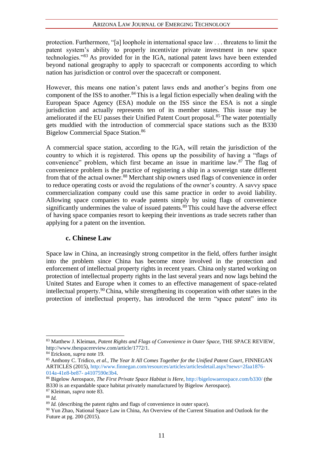protection. Furthermore, "[a] loophole in international space law . . . threatens to limit the patent system's ability to properly incentivize private investment in new space technologies."<sup>83</sup> As provided for in the IGA, national patent laws have been extended beyond national geography to apply to spacecraft or components according to which nation has jurisdiction or control over the spacecraft or component.

However, this means one nation's patent laws ends and another's begins from one component of the ISS to another.<sup>84</sup>This is a legal fiction especially when dealing with the European Space Agency (ESA) module on the ISS since the ESA is not a single jurisdiction and actually represents ten of its member states. This issue may be ameliorated if the EU passes their Unified Patent Court proposal.<sup>85</sup> The water potentially gets muddied with the introduction of commercial space stations such as the B330 Bigelow Commercial Space Station.<sup>86</sup>

A commercial space station, according to the IGA, will retain the jurisdiction of the country to which it is registered. This opens up the possibility of having a "flags of convenience" problem, which first became an issue in maritime law.<sup>87</sup> The flag of convenience problem is the practice of registering a ship in a sovereign state different from that of the actual owner.<sup>88</sup> Merchant ship owners used flags of convenience in order to reduce operating costs or avoid the regulations of the owner's country. A savvy space commercialization company could use this same practice in order to avoid liability. Allowing space companies to evade patents simply by using flags of convenience significantly undermines the value of issued patents.<sup>89</sup> This could have the adverse effect of having space companies resort to keeping their inventions as trade secrets rather than applying for a patent on the invention.

#### **c. Chinese Law**

Space law in China, an increasingly strong competitor in the field, offers further insight into the problem since China has become more involved in the protection and enforcement of intellectual property rights in recent years. China only started working on protection of intellectual property rights in the last several years and now lags behind the United States and Europe when it comes to an effective management of space-related intellectual property.<sup>90</sup>China, while strengthening its cooperation with other states in the protection of intellectual property, has introduced the term "space patent" into its

<sup>83</sup> Matthew J. Kleiman, *Patent Rights and Flags of Convenience in Outer Space,* THE SPACE REVIEW, http://www.thespacereview.com/article/1772/1.

<sup>84</sup> Erickson, *supra* note 19.

<sup>85</sup> Anthony C. Tridico, *et al.*, *The Year It All Comes Together for the Unified Patent Court*, FINNEGAN ARTICLES (2015), http://www.finnegan.com/resources/articles/articlesdetail.aspx?news=2faa1876- 014a-41e8-be87- a4107590e3b4.

<sup>86</sup> Bigelow Aerospace, *The First Private Space Habitat is Here*, http://bigelowaerospace.com/b330/ (the B330 is an expandable space habitat privately manufactured by Bigelow Aerospace).

<sup>87</sup> Kleiman, *supra* note 83.

<sup>88</sup> *Id.*

<sup>&</sup>lt;sup>89</sup> *Id.* (describing the patent rights and flags of convenience in outer space).

<sup>&</sup>lt;sup>90</sup> Yun Zhao, National Space Law in China, An Overview of the Current Situation and Outlook for the Future at pg. 200 (2015).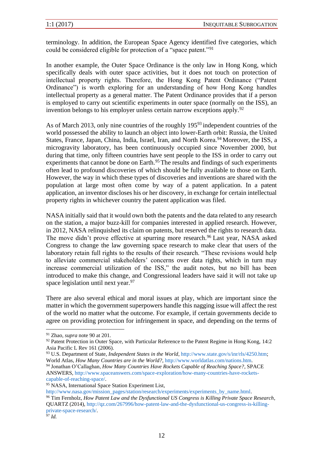terminology. In addition, the European Space Agency identified five categories, which could be considered eligible for protection of a "space patent."<sup>91</sup>

In another example, the Outer Space Ordinance is the only law in Hong Kong, which specifically deals with outer space activities, but it does not touch on protection of intellectual property rights. Therefore, the Hong Kong Patent Ordinance ("Patent Ordinance") is worth exploring for an understanding of how Hong Kong handles intellectual property as a general matter. The Patent Ordinance provides that if a person is employed to carry out scientific experiments in outer space (normally on the ISS), an invention belongs to his employer unless certain narrow exceptions apply.<sup>92</sup>

As of March 2013, only nine countries of the roughly 195<sup>93</sup> independent countries of the world possessed the ability to launch an object into lower-Earth orbit: Russia, the United States, France, Japan, China, India, Israel, Iran, and North Korea.<sup>94</sup> Moreover, the ISS, a microgravity laboratory, has been continuously occupied since November 2000, but during that time, only fifteen countries have sent people to the ISS in order to carry out experiments that cannot be done on Earth.<sup>95</sup> The results and findings of such experiments often lead to profound discoveries of which should be fully available to those on Earth. However, the way in which these types of discoveries and inventions are shared with the population at large most often come by way of a patent application. In a patent application, an inventor discloses his or her discovery, in exchange for certain intellectual property rights in whichever country the patent application was filed.

NASA initially said that it would own both the patents and the data related to any research on the station, a major buzz-kill for companies interested in applied research. However, in 2012, NASA relinquished its claim on patents, but reserved the rights to research data. The move didn't prove effective at spurring more research.<sup>96</sup> Last year, NASA asked Congress to change the law governing space research to make clear that users of the laboratory retain full rights to the results of their research. "These revisions would help to alleviate commercial stakeholders' concerns over data rights, which in turn may increase commercial utilization of the ISS," the audit notes, but no bill has been introduced to make this change, and Congressional leaders have said it will not take up space legislation until next year.<sup>97</sup>

There are also several ethical and moral issues at play, which are important since the matter in which the government superpowers handle this nagging issue will affect the rest of the world no matter what the outcome. For example, if certain governments decide to agree on providing protection for infringement in space, and depending on the terms of

<sup>91</sup> Zhao, *supra* note 90 at 201.

<sup>&</sup>lt;sup>92</sup> Patent Protection in Outer Space, with Particular Reference to the Patent Regime in Hong Kong, 14:2 Asia Pacific L Rev 161 (2006).

<sup>93</sup> U.S. Department of State, *Independent States in the World*, http://www.state.gov/s/inr/rls/4250.htm; World Atlas, *How Many Countries are in the World?*, http://www.worldatlas.com/nations.htm.

<sup>94</sup> Jonathan O'Callaghan, *How Many Countries Have Rockets Capable of Reaching Space?*, SPACE ANSWERS, http://www.spaceanswers.com/space-exploration/how-many-countries-have-rocketscapable-of-reaching-space/.

<sup>&</sup>lt;sup>95</sup> NASA, International Space Station Experiment List,

http://www.nasa.gov/mission\_pages/station/research/experiments/experiments\_by\_name.html. <sup>96</sup> Tim Fernholz, *How Patent Law and the Dysfunctional US Congress is Killing Private Space Research*, QUARTZ (2014), http://qz.com/267996/how-patent-law-and-the-dysfunctional-us-congress-is-killingprivate-space-research/.

<sup>97</sup> *Id.*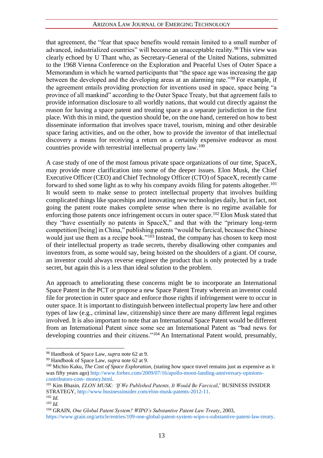that agreement, the "fear that space benefits would remain limited to a small number of advanced, industrialized countries" will become an unacceptable reality.<sup>98</sup> This view was clearly echoed by U Thant who, as Secretary-General of the United Nations, submitted to the 1968 Vienna Conference on the Exploration and Peaceful Uses of Outer Space a Memorandum in which he warned participants that "the space age was increasing the gap between the developed and the developing areas at an alarming rate."<sup>99</sup> For example, if the agreement entails providing protection for inventions used in space, space being "a province of all mankind" according to the Outer Space Treaty, but that agreement fails to provide information disclosure to all worldly nations, that would cut directly against the reason for having a space patent and treating space as a separate jurisdiction in the first place. With this in mind, the question should be, on the one hand, centered on how to best disseminate information that involves space travel, tourism, mining and other desirable space faring activities, and on the other, how to provide the inventor of that intellectual discovery a means for receiving a return on a certainly expensive endeavor as most countries provide with terrestrial intellectual property law.<sup>100</sup>

A case study of one of the most famous private space organizations of our time, SpaceX, may provide more clarification into some of the deeper issues. Elon Musk, the Chief Executive Officer (CEO) and Chief Technology Officer (CTO) of SpaceX, recently came forward to shed some light as to why his company avoids filing for patents altogether.<sup>101</sup> It would seem to make sense to protect intellectual property that involves building complicated things like spaceships and innovating new technologies daily, but in fact, not going the patent route makes complete sense when there is no regime available for enforcing those patents once infringement occurs in outer space.<sup>102</sup> Elon Musk stated that they "have essentially no patents in SpaceX," and that with the "primary long-term competition [being] in China," publishing patents "would be farcical, because the Chinese would just use them as a recipe book."<sup>103</sup> Instead, the company has chosen to keep most of their intellectual property as trade secrets, thereby disallowing other companies and inventors from, as some would say, being hoisted on the shoulders of a giant. Of course, an inventor could always reverse engineer the product that is only protected by a trade secret, but again this is a less than ideal solution to the problem.

An approach to ameliorating these concerns might be to incorporate an International Space Patent in the PCT or propose a new Space Patent Treaty wherein an inventor could file for protection in outer space and enforce those rights if infringement were to occur in outer space. It is important to distinguish between intellectual property law here and other types of law (e.g., criminal law, citizenship) since there are many different legal regimes involved. It is also important to note that an International Space Patent would be different from an International Patent since some see an International Patent as "bad news for developing countries and their citizens."<sup>104</sup> An International Patent would, presumably,

<sup>98</sup> Handbook of Space Law, *supra* note 62 at 9.

<sup>99</sup> Handbook of Space Law, *supra* note 62 at 9.

<sup>100</sup> Michio Kaku, *The Cost of Space Exploration*, (stating how space travel remains just as expensive as it was fifty years ago) http://www.forbes.com/2009/07/16/apollo-moon-landing-anniversary-opinionscontributors-cost- money.html.

<sup>101</sup> Kim Bhasin, *ELON MUSK: 'If We Published Patents, It Would Be Farcical*,' BUSINESS INSIDER STRATEGY, http://www.businessinsider.com/elon-musk-patents-2012-11.

 $102$  *Id.* 

<sup>103</sup> *Id.* 

<sup>104</sup> GRAIN, *One Global Patent System? WIPO's Substantive Patent Law Treaty*, 2003,

https://www.grain.org/article/entries/109-one-global-patent-system-wipo-s-substantive-patent-law-treaty.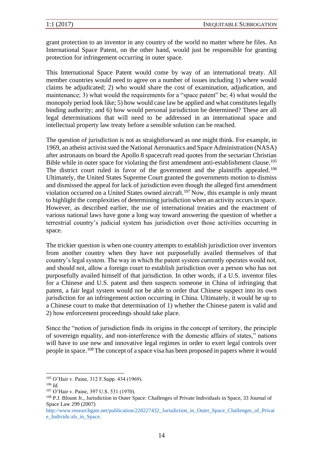grant protection to an inventor in any country of the world no matter where he files. An International Space Patent, on the other hand, would just be responsible for granting protection for infringement occurring in outer space.

This International Space Patent would come by way of an international treaty. All member countries would need to agree on a number of issues including 1) where would claims be adjudicated; 2) who would share the cost of examination, adjudication, and maintenance; 3) what would the requirements for a "space patent" be; 4) what would the monopoly period look like; 5) how would case law be applied and what constitutes legally binding authority; and 6) how would personal jurisdiction be determined? These are all legal determinations that will need to be addressed in an international space and intellectual property law treaty before a sensible solution can be reached.

The question of jurisdiction is not as straightforward as one might think. For example, in 1969, an atheist activist sued the National Aeronautics and Space Administration (NASA) after astronauts on board the Apollo 8 spacecraft read quotes from the sectarian Christian Bible while in outer space for violating the first amendment anti-establishment clause.<sup>105</sup> The district court ruled in favor of the government and the plaintiffs appealed.<sup>106</sup> Ultimately, the United States Supreme Court granted the governments motion to dismiss and dismissed the appeal for lack of jurisdiction even though the alleged first amendment violation occurred on a United States owned aircraft.<sup>107</sup> Now, this example is only meant to highlight the complexities of determining jurisdiction when an activity occurs in space. However, as described earlier, the use of international treaties and the enactment of various national laws have gone a long way toward answering the question of whether a terrestrial country's judicial system has jurisdiction over those activities occurring in space.

The trickier question is when one country attempts to establish jurisdiction over inventors from another country when they have not purposefully availed themselves of that country's legal system. The way in which the patent system currently operates would not, and should not, allow a foreign court to establish jurisdiction over a person who has not purposefully availed himself of that jurisdiction. In other words, if a U.S. inventor files for a Chinese and U.S. patent and then suspects someone in China of infringing that patent, a fair legal system would not be able to order that Chinese suspect into its own jurisdiction for an infringement action occurring in China. Ultimately, it would be up to a Chinese court to make that determination of 1) whether the Chinese patent is valid and 2) how enforcement proceedings should take place.

Since the "notion of jurisdiction finds its origins in the concept of territory, the principle of sovereign equality, and non-interference with the domestic affairs of states," nations will have to use new and innovative legal regimes in order to exert legal controls over people in space.<sup>108</sup>The concept of a space visa has been proposed in papers where it would

<sup>105</sup> O'Hair v. Paine, 312 F.Supp. 434 (1969).

<sup>106</sup> *Id.*

<sup>107</sup> O'Hair v. Paine, 397 U.S. 531 (1970).

<sup>108</sup> P.J. Blount Jr., Jurisdiction in Outer Space: Challenges of Private Individuals in Space, 33 Journal of Space Law 299 (2007)

http://www.researchgate.net/publication/228227432\_Jurisdiction\_in\_Outer\_Space\_Challenges\_of\_Privat e\_Individu als\_in\_Space.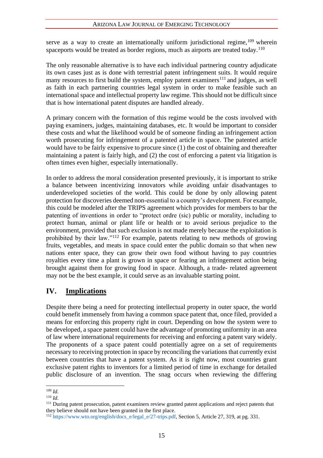serve as a way to create an internationally uniform jurisdictional regime,  $109$  wherein spaceports would be treated as border regions, much as airports are treated today.<sup>110</sup>

The only reasonable alternative is to have each individual partnering country adjudicate its own cases just as is done with terrestrial patent infringement suits. It would require many resources to first build the system, employ patent examiners<sup>111</sup> and judges, as well as faith in each partnering countries legal system in order to make feasible such an international space and intellectual property law regime. This should not be difficult since that is how international patent disputes are handled already.

A primary concern with the formation of this regime would be the costs involved with paying examiners, judges, maintaining databases, etc. It would be important to consider these costs and what the likelihood would be of someone finding an infringement action worth prosecuting for infringement of a patented article in space. The patented article would have to be fairly expensive to procure since (1) the cost of obtaining and thereafter maintaining a patent is fairly high, and (2) the cost of enforcing a patent via litigation is often times even higher, especially internationally.

In order to address the moral consideration presented previously, it is important to strike a balance between incentivizing innovators while avoiding unfair disadvantages to underdeveloped societies of the world. This could be done by only allowing patent protection for discoveries deemed non-essential to a country's development. For example, this could be modeled after the TRIPS agreement which provides for members to bar the patenting of inventions in order to "protect ordre (sic) public or morality, including to protect human, animal or plant life or health or to avoid serious prejudice to the environment, provided that such exclusion is not made merely because the exploitation is prohibited by their law."<sup>112</sup> For example, patents relating to new methods of growing fruits, vegetables, and meats in space could enter the public domain so that when new nations enter space, they can grow their own food without having to pay countries royalties every time a plant is grown in space or fearing an infringement action being brought against them for growing food in space. Although, a trade- related agreement may not be the best example, it could serve as an invaluable starting point.

# **IV. Implications**

Despite there being a need for protecting intellectual property in outer space, the world could benefit immensely from having a common space patent that, once filed, provided a means for enforcing this property right in court. Depending on how the system were to be developed, a space patent could have the advantage of promoting uniformity in an area of law where international requirements for receiving and enforcing a patent vary widely. The proponents of a space patent could potentially agree on a set of requirements necessary to receiving protection in space by reconciling the variations that currently exist between countries that have a patent system. As it is right now, most countries grant exclusive patent rights to inventors for a limited period of time in exchange for detailed public disclosure of an invention. The snag occurs when reviewing the differing

<sup>109</sup> *Id.*

<sup>110</sup> *Id.*

<sup>&</sup>lt;sup>111</sup> During patent prosecution, patent examiners review granted patent applications and reject patents that they believe should not have been granted in the first place.

<sup>112</sup> https://www.wto.org/english/docs\_e/legal\_e/27-trips.pdf, Section 5, Article 27, 319, at pg. 331.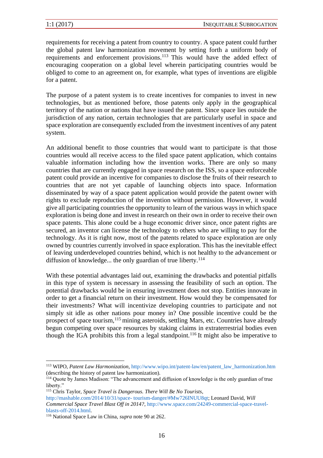requirements for receiving a patent from country to country. A space patent could further the global patent law harmonization movement by setting forth a uniform body of requirements and enforcement provisions.<sup>113</sup> This would have the added effect of encouraging cooperation on a global level wherein participating countries would be obliged to come to an agreement on, for example, what types of inventions are eligible for a patent.

The purpose of a patent system is to create incentives for companies to invest in new technologies, but as mentioned before, those patents only apply in the geographical territory of the nation or nations that have issued the patent. Since space lies outside the jurisdiction of any nation, certain technologies that are particularly useful in space and space exploration are consequently excluded from the investment incentives of any patent system.

An additional benefit to those countries that would want to participate is that those countries would all receive access to the filed space patent application, which contains valuable information including how the invention works. There are only so many countries that are currently engaged in space research on the ISS, so a space enforceable patent could provide an incentive for companies to disclose the fruits of their research to countries that are not yet capable of launching objects into space. Information disseminated by way of a space patent application would provide the patent owner with rights to exclude reproduction of the invention without permission. However, it would give all participating countries the opportunity to learn of the various ways in which space exploration is being done and invest in research on their own in order to receive their own space patents. This alone could be a huge economic driver since, once patent rights are secured, an inventor can license the technology to others who are willing to pay for the technology. As it is right now, most of the patents related to space exploration are only owned by countries currently involved in space exploration. This has the inevitable effect of leaving underdeveloped countries behind, which is not healthy to the advancement or diffusion of knowledge... the only guardian of true liberty.<sup>114</sup>

With these potential advantages laid out, examining the drawbacks and potential pitfalls in this type of system is necessary in assessing the feasibility of such an option. The potential drawbacks would be in ensuring investment does not stop. Entities innovate in order to get a financial return on their investment. How would they be compensated for their investments? What will incentivize developing countries to participate and not simply sit idle as other nations pour money in? One possible incentive could be the prospect of space tourism,<sup>115</sup> mining asteroids, settling Mars, etc. Countries have already begun competing over space resources by staking claims in extraterrestrial bodies even though the IGA prohibits this from a legal standpoint.<sup>116</sup> It might also be imperative to

<sup>113</sup> WIPO, *Patent Law Harmonization*, http://www.wipo.int/patent-law/en/patent\_law\_harmonization.htm (describing the history of patent law harmonization).

<sup>114</sup> Quote by James Madison: "The advancement and diffusion of knowledge is the only guardian of true liberty."

<sup>115</sup> Chris Taylor, *Space Travel is Dangerous. There Will Be No Tourists*,

http://mashable.com/2014/10/31/space- tourism-danger/#Mw726INUU8qt; Leonard David, *Will Commercial Space Travel Blast Off in 2014?*, http://www.space.com/24249-commercial-space-travelblasts-off-2014.html.

<sup>116</sup> National Space Law in China, *supra* note 90 at 262.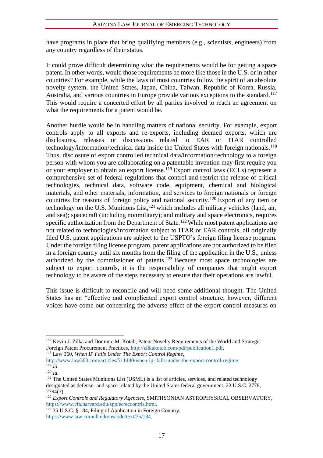have programs in place that bring qualifying members (e.g., scientists, engineers) from any country regardless of their status.

It could prove difficult determining what the requirements would be for getting a space patent. In other words, would those requirements be more like those in the U.S. or in other countries? For example, while the laws of most countries follow the spirit of an absolute novelty system, the United States, Japan, China, Taiwan, Republic of Korea, Russia, Australia, and various countries in Europe provide various exceptions to the standard.<sup>117</sup> This would require a concerted effort by all parties involved to reach an agreement on what the requirements for a patent would be.

Another hurdle would be in handling matters of national security. For example, export controls apply to all exports and re-exports, including deemed exports, which are disclosures, releases or discussions related to EAR or ITAR controlled technology/information/technical data inside the United States with foreign nationals.<sup>118</sup> Thus, disclosure of export controlled technical data/information/technology to a foreign person with whom you are collaborating on a patentable invention may first require you or your employer to obtain an export license.<sup>119</sup> Export control laws (ECLs) represent a comprehensive set of federal regulations that control and restrict the release of critical technologies, technical data, software code, equipment, chemical and biological materials, and other materials, information, and services to foreign nationals or foreign countries for reasons of foreign policy and national security.<sup>120</sup> Export of any item or technology on the U.S. Munitions List, $121$  which includes all military vehicles (land, air, and sea); spacecraft (including nonmilitary); and military and space electronics, requires specific authorization from the Department of State.<sup>122</sup>While most patent applications are not related to technologies/information subject to ITAR or EAR controls, all originally filed U.S. patent applications are subject to the USPTO's foreign filing license program. Under the foreign filing license program, patent applications are not authorized to be filed in a foreign country until six months from the filing of the application in the U.S., unless authorized by the commissioner of patents.<sup>123</sup> Because most space technologies are subject to export controls, it is the responsibility of companies that might export technology to be aware of the steps necessary to ensure that their operations are lawful.

This issue is difficult to reconcile and will need some additional thought. The United States has an "effective and complicated export control structure; however, different voices have come out concerning the adverse effect of the export control measures on

<sup>117</sup> Kevin J. Zilka and Dominic M. Kotab, Patent Novelty Requirements of the World and Strategic Foreign Patent Procurement Practices, http://zilkakotab.com/pdf/publication1.pdf. <sup>118</sup> Law 360, *When IP Falls Under The Export Control Regime*,

http://www.law360.com/articles/511440/when-ip- falls-under-the-export-control-regime. <sup>119</sup> *Id.* 

<sup>120</sup> *Id.* 

 $121$  The United States Munitions List (USML) is a list of articles, services, and related technology designated as defense- and space-related by the United States federal government. 22 U.S.C. 2778, 2794(7).

<sup>&</sup>lt;sup>122</sup> *Export Controls and Regulatory Agencies, SMITHSONIAN ASTROPHYSICAL OBSERVATORY,* https://www.cfa.harvard.edu/spp/ec/eccontrls.html.

<sup>&</sup>lt;sup>123</sup> 35 U.S.C. § 184, Filing of Application in Foreign Country, https://www.law.cornell.edu/uscode/text/35/184.